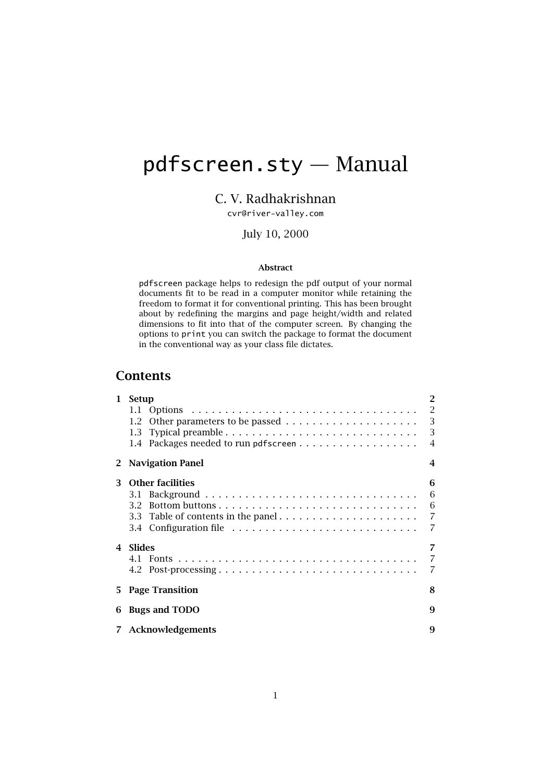# <span id="page-0-0"></span>pdfscreen.sty — Manual

# C. V. Radhakrishnan

[cvr@river-valley.com](mailto:cvr@river-valley.com)

## July 10, 2000

#### Abstract

pdfscreen package helps to redesign the pdf output of your normal documents fit to be read in a computer monitor while retaining the freedom to format it for conventional printing. This has been brought about by redefining the margins and page height/width and related dimensions to fit into that of the computer screen. By changing the options to print you can switch the package to format the document in the conventional way as your class file dictates.

# **Contents**

| $\mathbf{1}$   | $\overline{2}$<br>Setup                   |                |  |
|----------------|-------------------------------------------|----------------|--|
|                |                                           |                |  |
|                |                                           |                |  |
|                |                                           |                |  |
|                |                                           |                |  |
| 2              | <b>Navigation Panel</b><br>$\overline{4}$ |                |  |
| 3              | <b>Other facilities</b>                   | 6              |  |
|                |                                           | 6              |  |
|                |                                           | 6              |  |
|                |                                           |                |  |
|                |                                           |                |  |
| $\overline{4}$ | Slides                                    |                |  |
|                |                                           | $\overline{7}$ |  |
|                | 4.2 Post-processing                       | $\overline{7}$ |  |
| 5.             | 8<br><b>Page Transition</b>               |                |  |
| 6              | 9<br><b>Bugs and TODO</b>                 |                |  |
|                | 7 Acknowledgements<br>9                   |                |  |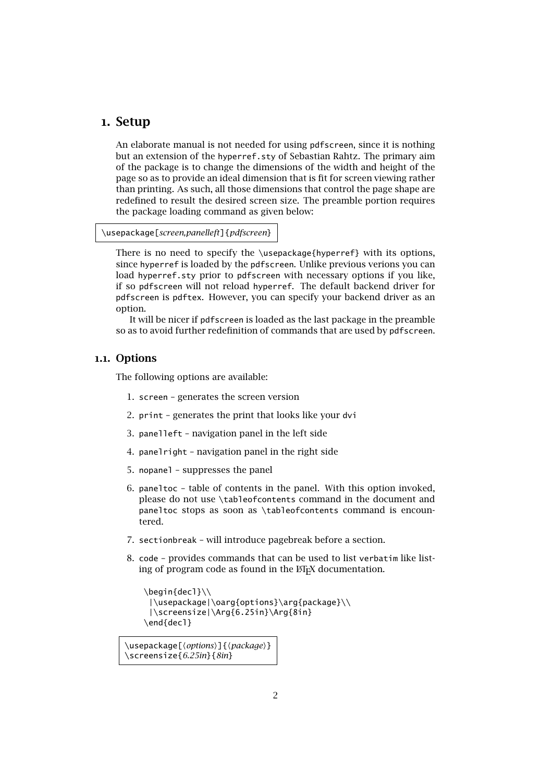## <span id="page-1-0"></span>1. Setup

An elaborate manual is not needed for using pdfscreen, since it is nothing but an extension of the hyperref.sty of [Sebastian Rahtz.](mailto:sebastian.rahtz@oucs.ac.uk) The primary aim of the package is to change the dimensions of the width and height of the page so as to provide an ideal dimension that is fit for screen viewing rather than printing. As such, all those dimensions that control the page shape are redefined to result the desired screen size. The preamble portion requires the package loading command as given below:

#### \usepackage[*screen,panelleft*]{*pdfscreen*}

There is no need to specify the \usepackage{hyperref} with its options, since hyperref is loaded by the pdfscreen. Unlike previous verions you can load hyperref.sty prior to pdfscreen with necessary options if you like, if so pdfscreen will not reload hyperref. The default backend driver for pdfscreen is pdftex. However, you can specify your backend driver as an option.

It will be nicer if pdfscreen is loaded as the last package in the preamble so as to avoid further redefinition of commands that are used by pdfscreen.

## 1.1. Options

<span id="page-1-1"></span>The following options are available:

- 1. screen generates the screen version
- 2. print generates the print that looks like your dvi
- 3. panelleft navigation panel in the left side
- 4. panelright navigation panel in the right side
- 5. nopanel suppresses the panel
- 6. paneltoc table of contents in the panel. With this option invoked, please do not use \tableofcontents command in the document and paneltoc stops as soon as \tableofcontents command is encountered.
- 7. sectionbreak will introduce pagebreak before a section.
- 8. code provides commands that can be used to list verbatim like listing of program code as found in the  $E/FX$  documentation.

```
\begin{decl}\\
 |\usepackage|\oarg{options}\arg{package}\\
 |\screensize|\Arg{6.25in}\Arg{8in}
\end{decl}
```
\usepackage[\*options*}]{\package}} \screensize{*6.25in*}{*8in*}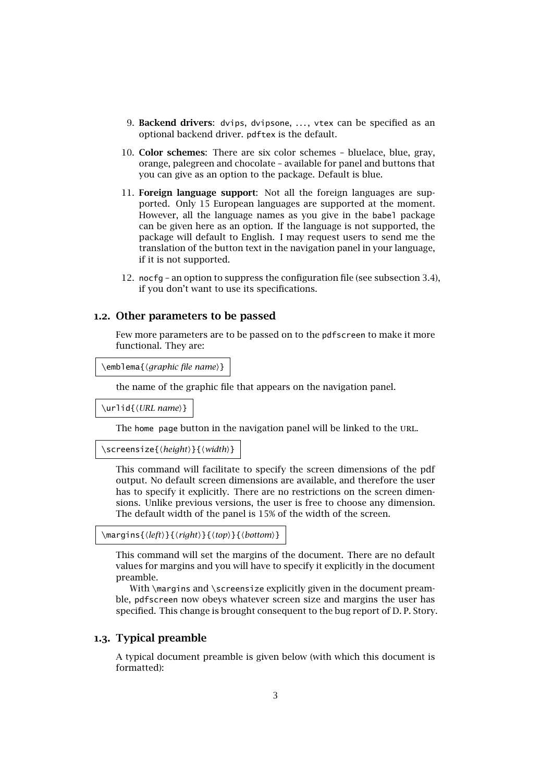- 9. Backend drivers: dvips, dvipsone, ..., vtex can be specified as an optional backend driver. pdftex is the default.
- 10. Color schemes: There are six color schemes bluelace, blue, gray, orange, palegreen and chocolate – available for panel and buttons that you can give as an option to the package. Default is blue.
- 11. Foreign language support: Not all the foreign languages are supported. Only 15 European languages are supported at the moment. However, all the language names as you give in the babel package can be given here as an option. If the language is not supported, the package will default to English. I may request users to send me the translation of the button text in the navigation panel in your language, if it is not supported.
- 12. nocfg an option to suppress the configuration file (see [subsection 3.4\)](#page-6-1), if you don't want to use its specifications.

#### 1.2. Other parameters to be passed

<span id="page-2-0"></span>Few more parameters are to be passed on to the pdfscreen to make it more functional. They are:

\emblema{*\graphic file name*}}

the name of the graphic file that appears on the navigation panel.

\urlid{\*URL name*}}

The home page button in the navigation panel will be linked to the URL.

\screensize{\*height*}}{\*width*}}

This command will facilitate to specify the screen dimensions of the pdf output. No default screen dimensions are available, and therefore the user has to specify it explicitly. There are no restrictions on the screen dimensions. Unlike previous versions, the user is free to choose any dimension. The default width of the panel is 15% of the width of the screen.

```
\margins{hlefti}{hrighti}{htopi}{hbottomi}
```
This command will set the margins of the document. There are no default values for margins and you will have to specify it explicitly in the document preamble.

With \margins and \screensize explicitly given in the document preamble, pdfscreen now obeys whatever screen size and margins the user has specified. This change is brought consequent to the bug report of [D. P. Story.](file:dpstory@uakron.edu)

## <span id="page-2-1"></span>1.3. Typical preamble

A typical document preamble is given below (with which this document is formatted):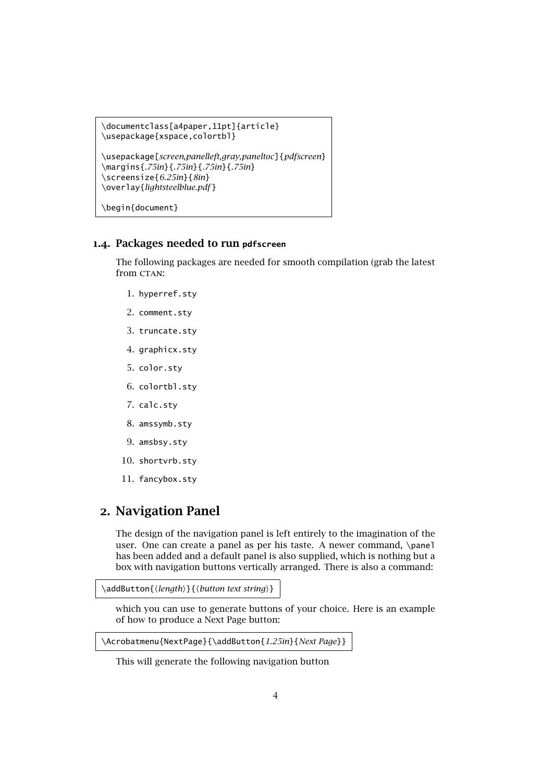```
\documentclass[a4paper,11pt]{article}
\usepackage{xspace,colortbl}
\usepackage[screen,panelleft,gray,paneltoc]{pdfscreen}
\margins{.75in}{.75in}{.75in}{.75in}
\screensize{6.25in}{8in}
\overlay{lightsteelblue.pdf }
\begin{document}
```
#### 1.4. Packages needed to run **pdfscreen**

<span id="page-3-0"></span>The following packages are needed for smooth compilation (grab the latest from CTAN:

- 1. hyperref.sty
- 2. comment.sty
- 3. truncate.sty
- 4. graphicx.sty
- 5. color.sty
- 6. colortbl.sty
- 7. calc.sty
- 8. amssymb.sty
- 9. amsbsy.sty
- 10. shortvrb.sty
- 11. fancybox.sty

# <span id="page-3-1"></span>2. Navigation Panel

The design of the navigation panel is left entirely to the imagination of the user. One can create a panel as per his taste. A newer command, \panel has been added and a default panel is also supplied, which is nothing but a box with navigation buttons vertically arranged. There is also a command:

```
\addButton{\length\}{\button text string\}
```
which you can use to generate buttons of your choice. Here is an example of how to produce a Next Page button:

```
\Acrobatmenu{NextPage}{\addButton{1.25in}{Next Page}}
```
This will generate the following navigation button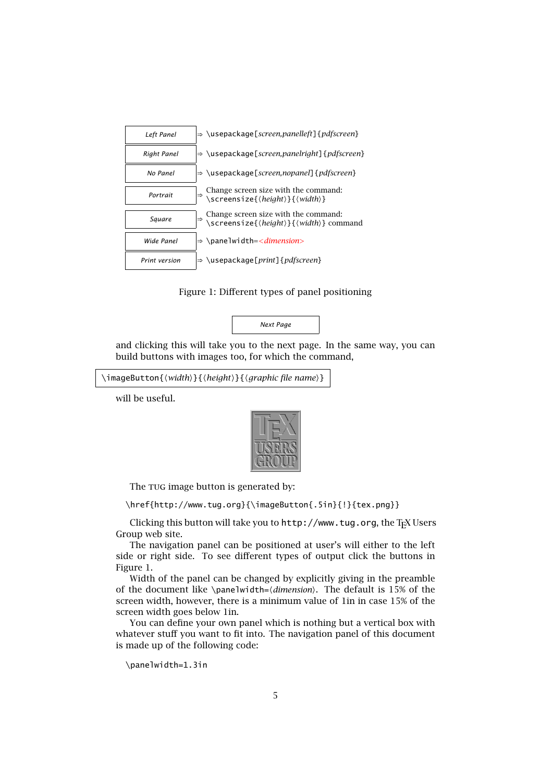

Figure 1: Different types of panel positioning

<span id="page-4-0"></span>*Next Page*

and clicking this will take you to the next page. In the same way, you can build buttons with images too, for which the command,

```
\imageButton{\width\}{\height\}{\graphic file name\}
```
will be useful.



The rug image button is generated by:

\href{http://www.tug.org}{\imageButton{.5in}{!}{tex.png}}

Clicking this button will take you to <http://www.tug.org>, the TEX Users Group web site.

The navigation panel can be positioned at user's will either to the left side or right side. To see different types of output click the buttons in [Figure 1.](#page-4-0)

Width of the panel can be changed by explicitly giving in the preamble of the document like \panelwidth= $\langle$ *dimension* $\rangle$ . The default is 15% of the screen width, however, there is a minimum value of 1in in case 15% of the screen width goes below 1in.

You can define your own panel which is nothing but a vertical box with whatever stuff you want to fit into. The navigation panel of this document is made up of the following code:

```
\panelwidth=1.3in
```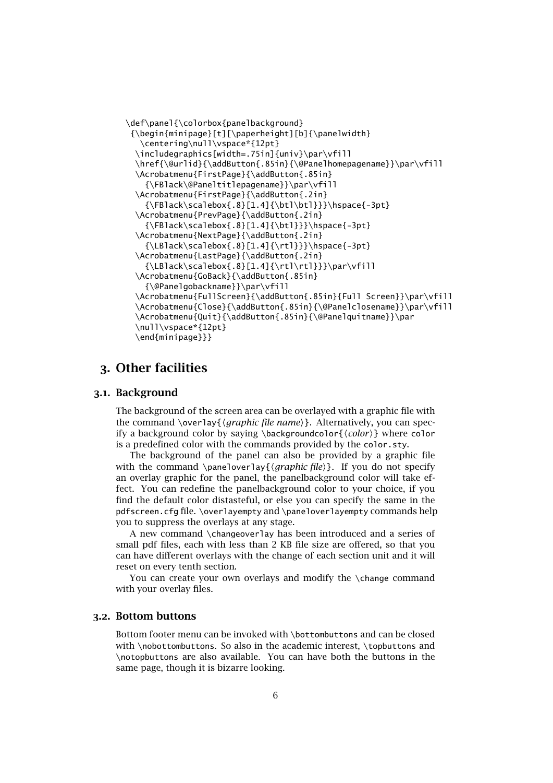```
\def\panel{\colorbox{panelbackground}
 {\begin{minipage}[t][\paperheight][b]{\panelwidth}
   \centering\null\vspace*{12pt}
  \includegraphics[width=.75in]{univ}\par\vfill
  \href{\@urlid}{\addButton{.85in}{\@Panelhomepagename}}\par\vfill
  \Acrobatmenu{FirstPage}{\addButton{.85in}
    {\FBlack\@Paneltitlepagename}}\par\vfill
  \Acrobatmenu{FirstPage}{\addButton{.2in}
    {\FBlack\scalebox{.8}[1.4]{\btl\btl}}}\hspace{-3pt}
  \Acrobatmenu{PrevPage}{\addButton{.2in}
    {\FBlack}\scal\{.8}[1.4]{\bt1}\} \hspace{-.02in}\Acrobatmenu{NextPage}{\addButton{.2in}
    {\LBlack\scalebox{.8}[1.4]{\rtl}}}\hspace{-3pt}
  \Acrobatmenu{LastPage}{\addButton{.2in}
    {\LBlack\scalebox{.8}[1.4]{\rt1\rt1}}\parrow rfill\Acrobatmenu{GoBack}{\addButton{.85in}
    {\@Panelgobackname}}\par\vfill
  \Acrobatmenu{FullScreen}{\addButton{.85in}{Full Screen}}\par\vfill
  \Acrobatmenu{Close}{\addButton{.85in}{\@Panelclosename}}\par\vfill
  \Acrobatmenu{Quit}{\addButton{.85in}{\@Panelquitname}}\par
  \null\vspace*{12pt}
  \end{minipage}}}
```
# <span id="page-5-0"></span>3. Other facilities

#### <span id="page-5-1"></span>3.1. Background

The background of the screen area can be overlayed with a graphic file with the command \overlay{*{graphic file name}*}. Alternatively, you can specify a background color by saying \backgroundcolor{*\color*}} where color is a predefined color with the commands provided by the color.sty.

The background of the panel can also be provided by a graphic file with the command \paneloverlay{*\graphic file*}. If you do not specify an overlay graphic for the panel, the panelbackground color will take effect. You can redefine the panelbackground color to your choice, if you find the default color distasteful, or else you can specify the same in the pdfscreen.cfg file. \overlayempty and \paneloverlayempty commands help you to suppress the overlays at any stage.

A new command \changeoverlay has been introduced and a series of small pdf files, each with less than 2 KB file size are offered, so that you can have different overlays with the change of each section unit and it will reset on every tenth section.

You can create your own overlays and modify the \change command with your overlay files.

#### 3.2. Bottom buttons

<span id="page-5-2"></span>Bottom footer menu can be invoked with \bottombuttons and can be closed with \nobottombuttons. So also in the academic interest, \topbuttons and \notopbuttons are also available. You can have both the buttons in the same page, though it is bizarre looking.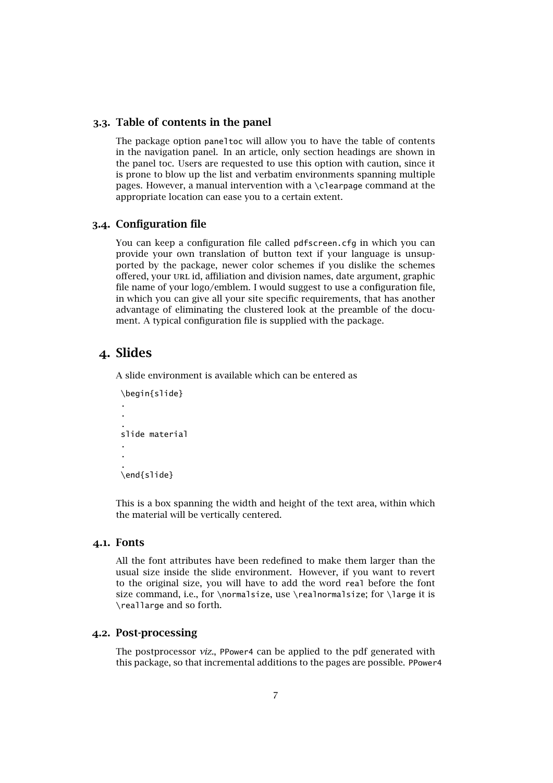#### 3.3. Table of contents in the panel

<span id="page-6-0"></span>The package option paneltoc will allow you to have the table of contents in the navigation panel. In an article, only section headings are shown in the panel toc. Users are requested to use this option with caution, since it is prone to blow up the list and verbatim environments spanning multiple pages. However, a manual intervention with a \clearpage command at the appropriate location can ease you to a certain extent.

## 3.4. Configuration file

<span id="page-6-1"></span>You can keep a configuration file called pdfscreen.cfg in which you can provide your own translation of button text if your language is unsupported by the package, newer color schemes if you dislike the schemes offered, your url id, affiliation and division names, date argument, graphic file name of your logo/emblem. I would suggest to use a configuration file, in which you can give all your site specific requirements, that has another advantage of eliminating the clustered look at the preamble of the document. A typical configuration file is supplied with the package.

## <span id="page-6-2"></span>4. Slides

A slide environment is available which can be entered as

```
\begin{slide}
.
.
.
slide material
.
.
.
\end{slide}
```
This is a box spanning the width and height of the text area, within which the material will be vertically centered.

#### 4.1. Fonts

<span id="page-6-3"></span>All the font attributes have been redefined to make them larger than the usual size inside the slide environment. However, if you want to revert to the original size, you will have to add the word real before the font size command, i.e., for \normalsize, use \realnormalsize; for \large it is \reallarge and so forth.

## 4.2. Post-processing

<span id="page-6-4"></span>The postprocessor *viz.*, PPower4 can be applied to the pdf generated with this package, so that incremental additions to the pages are possible. PPower4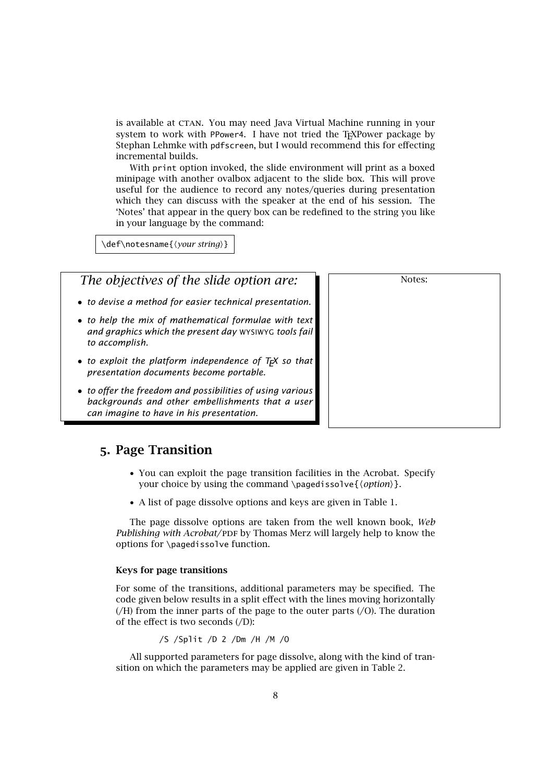is available at CTAN. You may need Java Virtual Machine running in your system to work with PPower4. I have not tried the T<sub>E</sub>XPower package by [Stephan Lehmke](mailto:Stephan.Lehmke@cs.uni-dortmund.de) with pdfscreen, but I would recommend this for effecting incremental builds.

With print option invoked, the slide environment will print as a boxed minipage with another ovalbox adjacent to the slide box. This will prove useful for the audience to record any notes/queries during presentation which they can discuss with the speaker at the end of his session. The 'Notes' that appear in the query box can be redefined to the string you like in your language by the command:

Notes:

\def\notesname{\*your string*}}

*The objectives of the slide option are:*

- *to devise a method for easier technical presentation.*
- *to help the mix of mathematical formulae with text and graphics which the present day* WYSIWYG *tools fail to accomplish.*
- *to exploit the platform independence of T<sub>F</sub>X so that presentation documents become portable.*
- *to offer the freedom and possibilities of using various backgrounds and other embellishments that a user can imagine to have in his presentation.*

## <span id="page-7-0"></span>5. Page Transition

- You can exploit the page transition facilities in the Acrobat. Specify your choice by using the command \pagedissolve{*\option*}}.
- A list of page dissolve options and keys are given in [Table 1.](#page-8-2)

The page dissolve options are taken from the well known book, *Web Publishing with Acrobat/PDF by Thomas Merz will largely help to know the* options for \pagedissolve function.

#### Keys for page transitions

For some of the transitions, additional parameters may be specified. The code given below results in a split effect with the lines moving horizontally (/H) from the inner parts of the page to the outer parts (/O). The duration of the effect is two seconds  $($ D $)$ :

/S /Split /D 2 /Dm /H /M /O

All supported parameters for page dissolve, along with the kind of transition on which the parameters may be applied are given in [Table 2.](#page-8-3)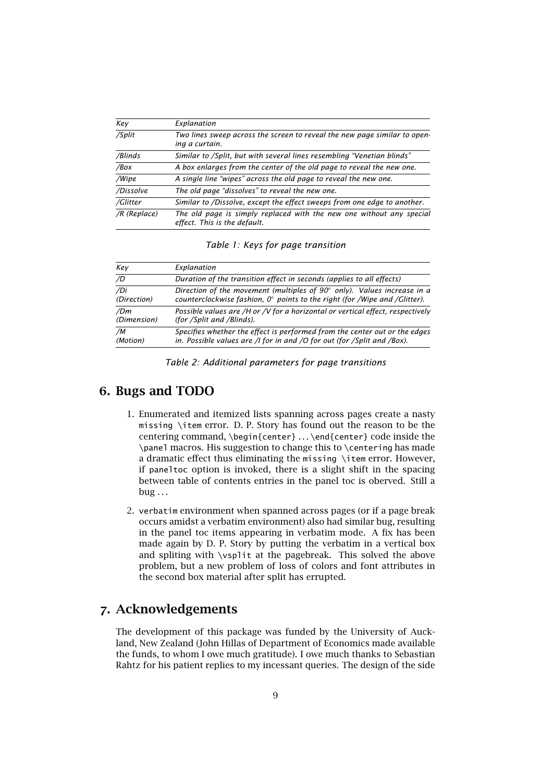| Key            | Explanation                                                                                          |
|----------------|------------------------------------------------------------------------------------------------------|
| /Split         | Two lines sweep across the screen to reveal the new page similar to open-<br>ing a curtain.          |
| /Blinds        | Similar to /Split, but with several lines resembling "Venetian blinds"                               |
| /Box           | A box enlarges from the center of the old page to reveal the new one.                                |
| /Wipe          | A single line "wipes" across the old page to reveal the new one.                                     |
| /Dissolve      | The old page "dissolves" to reveal the new one.                                                      |
| /Glitter       | Similar to /Dissolve, except the effect sweeps from one edge to another.                             |
| $/R$ (Replace) | The old page is simply replaced with the new one without any special<br>effect. This is the default. |

<span id="page-8-2"></span>*Table 1: Keys for page transition*

| Kev         | Explanation                                                                         |
|-------------|-------------------------------------------------------------------------------------|
| /D          | Duration of the transition effect in seconds (applies to all effects)               |
| /Di         | Direction of the movement (multiples of $90^{\circ}$ only). Values increase in a    |
| (Direction) | counterclockwise fashion, $0^{\circ}$ points to the right (for /Wipe and /Glitter). |
| /Dm         | Possible values are /H or /V for a horizontal or vertical effect, respectively      |
| (Dimension) | (for /Split and /Blinds).                                                           |
| /M          | Specifies whether the effect is performed from the center out or the edges          |
| (Motion)    | in. Possible values are /I for in and /O for out (for /Split and /Box).             |

<span id="page-8-3"></span>*Table 2: Additional parameters for page transitions*

## <span id="page-8-0"></span>6. Bugs and TODO

- 1. Enumerated and itemized lists spanning across pages create a nasty missing \item error. [D. P. Story](mailto:dpstory@uakron.edu) has found out the reason to be the centering command, \begin{center} ... \end{center} code inside the \panel macros. His suggestion to change this to \centering has made a dramatic effect thus eliminating the missing \item error. However, if paneltoc option is invoked, there is a slight shift in the spacing between table of contents entries in the panel toc is oberved. Still a  $bug \ldots$
- 2. verbatim environment when spanned across pages (or if a page break occurs amidst a verbatim environment) also had similar bug, resulting in the panel toc items appearing in verbatim mode. A fix has been made again by [D. P. Story](mailto:dpstory@uakron.edu) by putting the verbatim in a vertical box and spliting with \vsplit at the pagebreak. This solved the above problem, but a new problem of loss of colors and font attributes in the second box material after split has errupted.

# <span id="page-8-1"></span>7. Acknowledgements

The development of this package was funded by the University of Auckland, New Zealand [\(John Hillas](mailto:j.hillas@auckland.ac.nz) of Department of Economics made available the funds, to whom I owe much gratitude). I owe much thanks to [Sebastian](mailto:sebastian.rahtz@oucs.ac.uk) [Rahtz](mailto:sebastian.rahtz@oucs.ac.uk) for his patient replies to my incessant queries. The design of the side